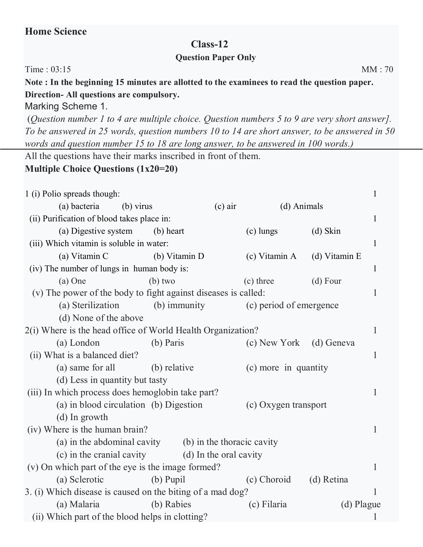## **Home Science**

## **Class-12**

## **Question Paper Only**

Time : 03:15 MM : 70

**Note : In the beginning 15 minutes are allotted to the examinees to read the question paper. Direction- All questions are compulsory.**

Marking Scheme 1.

(*Question number 1 to 4 are multiple choice. Question numbers 5 to 9 are very short answer]. To be answered in 25 words, question numbers 10 to 14 are short answer, to be answered in 50 words and question number 15 to 18 are long answer, to be answered in 100 words.)*

All the questions have their marks inscribed in front of them.

## **Multiple Choice Questions (1x20=20)**

| 1 (i) Polio spreads though:                                               |               |           |                         |               | 1            |
|---------------------------------------------------------------------------|---------------|-----------|-------------------------|---------------|--------------|
| (a) bacteria (b) virus                                                    |               | $(c)$ air | (d) Animals             |               |              |
| (ii) Purification of blood takes place in:                                |               |           |                         |               | $\mathbf{1}$ |
| (a) Digestive system (b) heart                                            |               |           | (c) lungs               | $(d)$ Skin    |              |
| (iii) Which vitamin is soluble in water:                                  |               |           |                         |               |              |
| (a) Vitamin C                                                             | (b) Vitamin D |           | (c) Vitamin A           | (d) Vitamin E |              |
| (iv) The number of lungs in human body is:                                |               |           |                         |               |              |
| $(a)$ One                                                                 | $(b)$ two     |           | (c) three               | $(d)$ Four    |              |
| (v) The power of the body to fight against diseases is called:<br>$\perp$ |               |           |                         |               |              |
| (a) Sterilization (b) immunity                                            |               |           | (c) period of emergence |               |              |
| (d) None of the above                                                     |               |           |                         |               |              |
| 2(i) Where is the head office of World Health Organization?               |               |           |                         |               | 1            |
| (a) London                                                                | (b) Paris     |           | (c) New York            | (d) Geneva    |              |
| (ii) What is a balanced diet?                                             |               |           |                         |               | 1            |
| (a) same for all (b) relative                                             |               |           | (c) more in quantity    |               |              |
| (d) Less in quantity but tasty                                            |               |           |                         |               |              |
| (iii) In which process does hemoglobin take part?                         |               |           |                         |               | $\mathbf{1}$ |
| (a) in blood circulation (b) Digestion                                    |               |           | (c) Oxygen transport    |               |              |
| $(d)$ In growth                                                           |               |           |                         |               |              |
| (iv) Where is the human brain?                                            |               |           |                         |               | $\mathbf{1}$ |
| (a) in the abdominal cavity (b) in the thoracic cavity                    |               |           |                         |               |              |
| (c) in the cranial cavity (d) In the oral cavity                          |               |           |                         |               |              |
| (v) On which part of the eye is the image formed?                         |               |           |                         |               | $\mathbf{1}$ |
| (a) Sclerotic                                                             | $(b)$ Pupil   |           | (c) Choroid             | (d) Retina    |              |
| 3. (i) Which disease is caused on the biting of a mad dog?<br>1           |               |           |                         |               |              |
| (a) Malaria                                                               | (b) Rabies    |           | (c) Filaria             |               | (d) Plague   |
| (ii) Which part of the blood helps in clotting?                           |               |           |                         |               |              |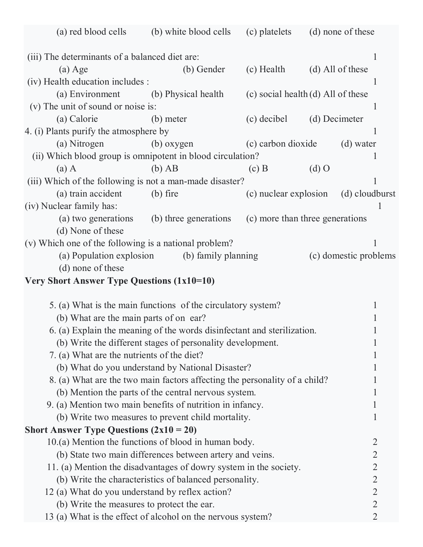| (a) red blood cells                                                                                                                   | (b) white blood cells                                                      | (c) platelets                      |               | (d) none of these     |
|---------------------------------------------------------------------------------------------------------------------------------------|----------------------------------------------------------------------------|------------------------------------|---------------|-----------------------|
|                                                                                                                                       |                                                                            |                                    |               |                       |
| (iii) The determinants of a balanced diet are:                                                                                        |                                                                            |                                    |               | $\mathbf{I}$          |
| $(a)$ Age                                                                                                                             | (b) Gender                                                                 | (c) Health                         |               | (d) All of these      |
| (iv) Health education includes :                                                                                                      |                                                                            |                                    |               |                       |
| (a) Environment (b) Physical health                                                                                                   |                                                                            | (c) social health (d) All of these |               |                       |
| (v) The unit of sound or noise is:                                                                                                    |                                                                            |                                    |               | 1                     |
| (a) Calorie                                                                                                                           | (b) meter                                                                  | (c) decibel                        | (d) Decimeter |                       |
| 4. (i) Plants purify the atmosphere by                                                                                                |                                                                            |                                    |               |                       |
| (a) Nitrogen                                                                                                                          | (b) oxygen                                                                 | (c) carbon dioxide                 |               | (d) water             |
| (ii) Which blood group is omnipotent in blood circulation?                                                                            |                                                                            |                                    |               | $\mathbf{I}$          |
| $(a)$ A                                                                                                                               | $(b)$ AB                                                                   | $(c)$ B                            | $(d)$ O       |                       |
| (iii) Which of the following is not a man-made disaster?                                                                              |                                                                            |                                    |               |                       |
| (a) train accident                                                                                                                    | $(b)$ fire                                                                 | (c) nuclear explosion              |               | (d) cloudburst        |
| (iv) Nuclear family has:                                                                                                              |                                                                            |                                    |               |                       |
|                                                                                                                                       | (a) two generations (b) three generations                                  | (c) more than three generations    |               |                       |
| (d) None of these                                                                                                                     |                                                                            |                                    |               |                       |
| (v) Which one of the following is a national problem?                                                                                 |                                                                            |                                    |               |                       |
| (a) Population explosion                                                                                                              | (b) family planning                                                        |                                    |               | (c) domestic problems |
| (d) none of these                                                                                                                     |                                                                            |                                    |               |                       |
| <b>Very Short Answer Type Questions (1x10=10)</b>                                                                                     |                                                                            |                                    |               |                       |
|                                                                                                                                       | 5. (a) What is the main functions of the circulatory system?               |                                    |               | 1                     |
| (b) What are the main parts of on ear?                                                                                                |                                                                            |                                    |               |                       |
|                                                                                                                                       |                                                                            |                                    |               |                       |
| 6. (a) Explain the meaning of the words disinfectant and sterilization.<br>(b) Write the different stages of personality development. |                                                                            |                                    |               | 1                     |
| 7. (a) What are the nutrients of the diet?                                                                                            |                                                                            |                                    |               |                       |
|                                                                                                                                       | (b) What do you understand by National Disaster?                           |                                    |               |                       |
|                                                                                                                                       | 8. (a) What are the two main factors affecting the personality of a child? |                                    |               |                       |
|                                                                                                                                       | (b) Mention the parts of the central nervous system.                       |                                    |               | 1                     |
| 9. (a) Mention two main benefits of nutrition in infancy.                                                                             |                                                                            |                                    |               | 1                     |
|                                                                                                                                       | (b) Write two measures to prevent child mortality.                         |                                    |               | 1                     |
| <b>Short Answer Type Questions (2x10 = 20)</b>                                                                                        |                                                                            |                                    |               |                       |
| 10.(a) Mention the functions of blood in human body.                                                                                  |                                                                            |                                    |               | $\overline{2}$        |
|                                                                                                                                       | (b) State two main differences between artery and veins.                   |                                    |               | $\overline{2}$        |
| 11. (a) Mention the disadvantages of dowry system in the society.                                                                     |                                                                            |                                    |               | $\overline{2}$        |
|                                                                                                                                       | (b) Write the characteristics of balanced personality.                     |                                    |               | $\overline{2}$        |
| 12 (a) What do you understand by reflex action?                                                                                       |                                                                            |                                    |               | $\overline{2}$        |
| (b) Write the measures to protect the ear.                                                                                            |                                                                            |                                    |               | $\overline{2}$        |
| 13 (a) What is the effect of alcohol on the nervous system?                                                                           |                                                                            |                                    |               | $\overline{2}$        |